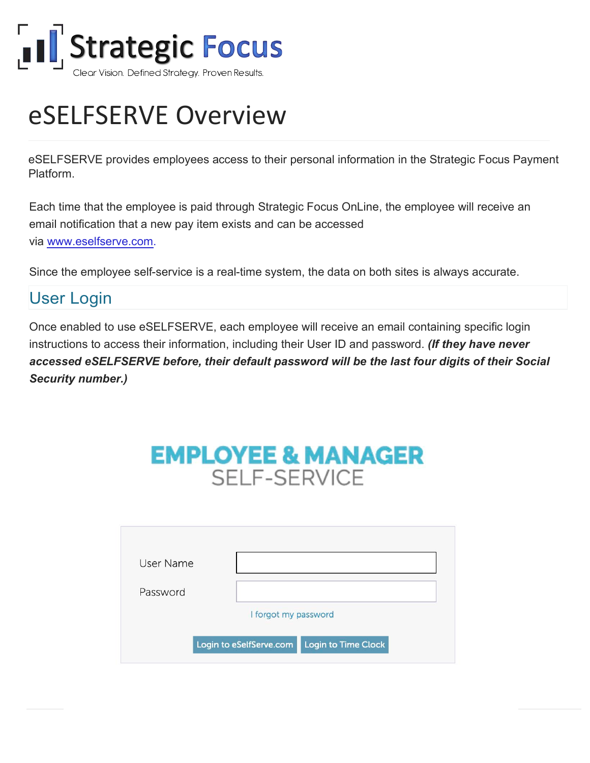

# eSELFSERVE Overview

eSELFSERVE provides employees access to their personal information in the Strategic Focus Payment Platform.

Each time that the employee is paid through Strategic Focus OnLine, the employee will receive an email notification that a new pay item exists and can be accessed via <www.eselfserve.com>.

Since the employee self-service is a real-time system, the data on both sites is always accurate.

## User Login

Once enabled to use eSELFSERVE, each employee will receive an email containing specific login instructions to access their information, including their User ID and password. *(If they have never accessed eSELFSERVE before, their default password will be the last four digits of their Social Security number.)*

## **EMPLOYEE & MANAGER SELF-SERVICE**

| User Name |                                                |
|-----------|------------------------------------------------|
| Password  |                                                |
|           | I forgot my password                           |
|           | Login to Time Clock<br>Login to eSelfServe.com |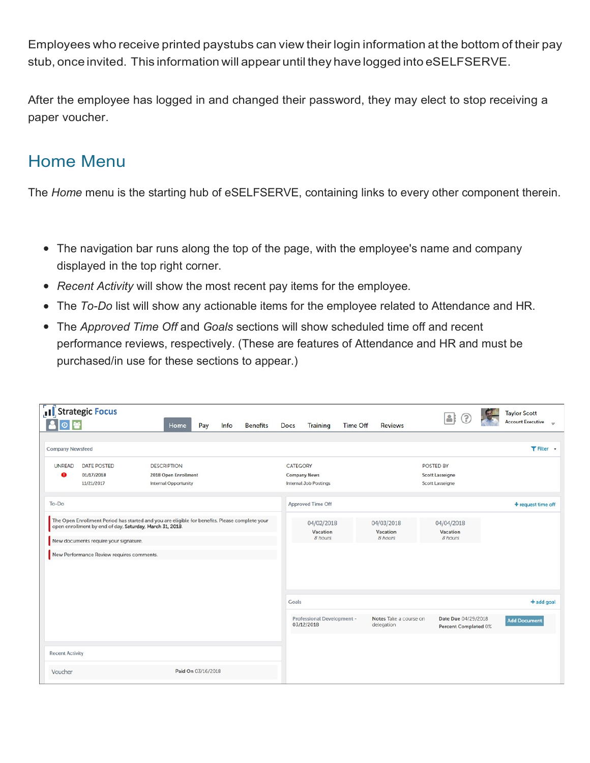Employees who receive printed paystubs can view their login information at the bottom of their pay stub, once invited. This information will appear until they have logged into eSELFSERVE.

After the employee has logged in and changed their password, they may elect to stop receiving a paper voucher.

#### Home Menu

The *Home* menu is the starting hub of eSELFSERVE, containing links to every other component therein.

- The navigation bar runs along the top of the page, with the employee's name and company displayed in the top right corner.
- *Recent Activity* will show the most recent pay items for the employee.
- The *To-Do* list will show any actionable items for the employee related to Attendance and HR.
- The *Approved Time Off* and *Goals* sections will show scheduled time off and recent performance reviews, respectively. (These are features of Attendance and HR and must be purchased/in use for these sections to appear.)

| 80巻                        | [1] Strategic Focus                                                                                                                                                                                                                              |                                                   | Home                 | Pay | Info | <b>Benefits</b> | <b>Docs</b> | <b>Training</b>                              | <b>Time Off</b> | <b>Reviews</b>                       | $\Delta$                                               | <b>Taylor Scott</b><br><b>Account Executive</b><br>$\circ$ |
|----------------------------|--------------------------------------------------------------------------------------------------------------------------------------------------------------------------------------------------------------------------------------------------|---------------------------------------------------|----------------------|-----|------|-----------------|-------------|----------------------------------------------|-----------------|--------------------------------------|--------------------------------------------------------|------------------------------------------------------------|
| <b>Company Newsfeed</b>    |                                                                                                                                                                                                                                                  |                                                   |                      |     |      |                 |             |                                              |                 |                                      |                                                        | T Filter +                                                 |
| <b>UNREAD</b><br>$\bullet$ | <b>DATE POSTED</b><br>01/17/2018<br>11/21/2017                                                                                                                                                                                                   | <b>DESCRIPTION</b><br><b>Internal Opportunity</b> | 2018 Open Enrollment |     |      |                 | CATEGORY    | <b>Company News</b><br>Internal Job Postings |                 |                                      | POSTED BY<br><b>Scott Lasseigne</b><br>Scott Lasseigne |                                                            |
| To-Do                      |                                                                                                                                                                                                                                                  |                                                   |                      |     |      |                 |             | Approved Time Off                            |                 |                                      |                                                        | + request time off                                         |
|                            | The Open Enrollment Period has started and you are eligible for benefits. Please complete your<br>open enrollment by end of day, Saturday, March 31, 2018.<br>New documents require your signature.<br>New Performance Review requires comments. |                                                   |                      |     |      |                 |             | 04/02/2018<br>Vacation<br>8 hours            |                 | 04/03/2018<br>Vacation<br>8 hours    | 04/04/2018<br>Vacation<br>8 hours                      |                                                            |
|                            |                                                                                                                                                                                                                                                  |                                                   |                      |     |      |                 | Goals       |                                              |                 |                                      |                                                        | + add goal                                                 |
|                            |                                                                                                                                                                                                                                                  |                                                   |                      |     |      |                 |             | Professional Development -<br>03/12/2018     |                 | Notes Take a course on<br>delegation | Date Due 04/29/2018<br>Percent Completed 0%            | <b>Add Document</b>                                        |
| <b>Recent Activity</b>     |                                                                                                                                                                                                                                                  |                                                   |                      |     |      |                 |             |                                              |                 |                                      |                                                        |                                                            |
| Voucher                    |                                                                                                                                                                                                                                                  |                                                   | Paid On 03/16/2018   |     |      |                 |             |                                              |                 |                                      |                                                        |                                                            |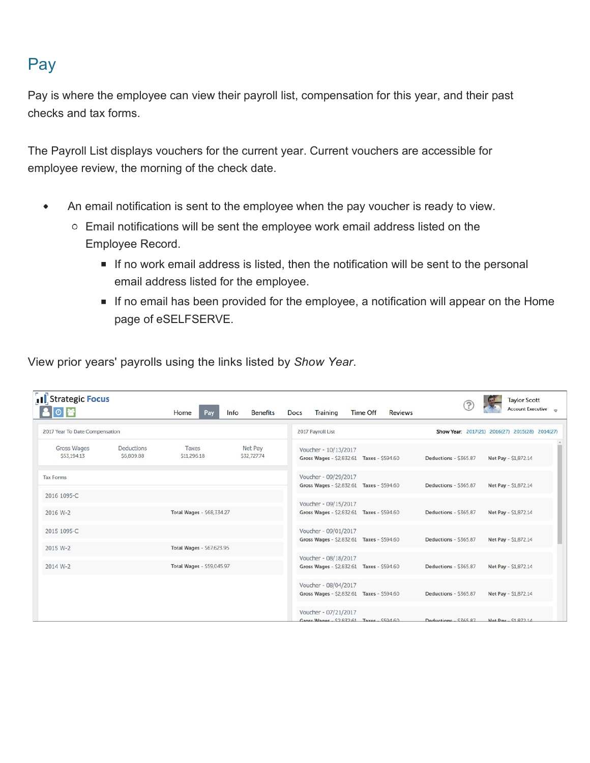## Pay

Pay is where the employee can view their payroll list, compensation for this year, and their past checks and tax forms.

The Payroll List displays vouchers for the current year. Current vouchers are accessible for employee review, the morning of the check date.

- An email notification is sent to the employee when the pay voucher is ready to view.  $\bullet$ 
	- Email notifications will be sent the employee work email address listed on the Employee Record.
		- If no work email address is listed, then the notification will be sent to the personal email address listed for the employee.
		- If no email has been provided for the employee, a notification will appear on the Home page of eSELFSERVE.

View prior years' payrolls using the links listed by *Show Year*.

| Strategic Focus<br>◎醫          |                         | Home<br>Pay                                                   | <b>Benefits</b><br>Info | <b>Training</b><br><b>Time Off</b><br><b>Reviews</b><br>Docs      | <b>Taylor Scott</b><br><b>Account Executive</b> |
|--------------------------------|-------------------------|---------------------------------------------------------------|-------------------------|-------------------------------------------------------------------|-------------------------------------------------|
| 2017 Year To Date Compensation |                         |                                                               |                         | 2017 Payroll List                                                 | Show Year: 2017(21) 2016(27) 2015(28) 2014(27)  |
| Gross Wages<br>S53,194.13      | Deductions<br>S6,809.88 | Taxes<br>S11,296.18                                           | Net Pay<br>S32,727.74   | Voucher - 10/13/2017<br>Gross Wages - \$2,832.61 Taxes - \$594.60 | Deductions - \$365.87<br>Net Pay - \$1,872.14   |
| <b>Tax Forms</b>               |                         |                                                               |                         | Voucher - 09/29/2017<br>Gross Wages - \$2,832.61 Taxes - \$594.60 | Deductions - \$365.87<br>Net Pay - \$1,872.14   |
| 2016 1095-C                    |                         |                                                               |                         | Voucher - 09/15/2017                                              |                                                 |
| 2016 W-2                       |                         | Total Wages - \$68,334.27                                     |                         | Gross Wages - \$2,832.61 Taxes - \$594.60                         | Net Pay - \$1,872.14<br>Deductions - \$365.87   |
| 2015 1095-C                    |                         |                                                               |                         | Voucher - 09/01/2017<br>Gross Wages - \$2,832.61 Taxes - \$594.60 | Net Pay - \$1,872.14<br>Deductions - \$365.87   |
| 2015 W-2<br>2014 W-2           |                         | Total Wages - \$67,623.95<br><b>Total Wages - \$59,045.97</b> |                         | Voucher - 08/18/2017<br>Gross Wages - \$2,832.61 Taxes - \$594.60 | Deductions - \$365.87<br>Net Pay - \$1,872.14   |
|                                |                         |                                                               |                         | Voucher - 08/04/2017<br>Gross Wages - \$2,832.61 Taxes - \$594.60 | Net Pay - \$1,872.14<br>Deductions - \$365.87   |
|                                |                         |                                                               |                         | Voucher - 07/21/2017<br>Gross Wages - $5283261$ Taxes - $560460$  | Deductions - SZ65.87<br>Net Pay - \$1,872.1/    |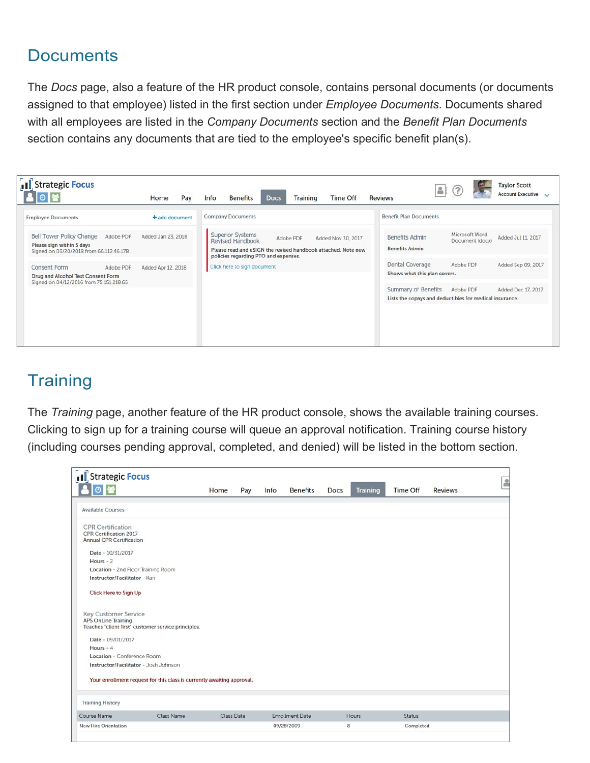### **Documents**

The *Docs* page, also a feature of the HR product console, contains personal documents (or documents assigned to that employee) listed in the first section under *Employee Documents*. Documents shared with all employees are listed in the *Company Documents* section and the *Benefit Plan Documents*  section contains any documents that are tied to the employee's specific benefit plan(s).

| Il Strategic Focus                                                                                            | Pay<br>Home        | <b>Training</b><br><b>Time Off</b><br>Info<br><b>Benefits</b><br><b>Docs</b>                                                                                                            | <b>Taylor Scott</b><br><b>AI</b><br><b>Account Executive</b><br><b>Reviews</b>                                    |
|---------------------------------------------------------------------------------------------------------------|--------------------|-----------------------------------------------------------------------------------------------------------------------------------------------------------------------------------------|-------------------------------------------------------------------------------------------------------------------|
| <b>Employee Documents</b>                                                                                     | + add document     | <b>Company Documents</b>                                                                                                                                                                | <b>Benefit Plan Documents</b>                                                                                     |
| Bell Tower Policy Change<br>Adobe PDF<br>Please sign within 5 days<br>Signed on 03/20/2018 from 66.112.46.178 | Added Jan 23, 2018 | <b>Superior Systems</b><br>Adobe PDF<br>Added Nov 30, 2017<br>Revised Handbook<br>Please read and eSIGN the revised handbook attached. Note new<br>policies regarding PTO and expenses. | Microsoft Word<br><b>Benefits Admin</b><br>Added Jul 11, 2017<br>Document (docx)<br><b>Benefits Admin</b>         |
| <b>Consent Form</b><br>Adobe PDF<br>Drug and Alcohol Test Consent Form                                        | Added Apr 12, 2018 | Click here to sign document                                                                                                                                                             | Dental Coverage<br>Adobe PDF<br>Added Sep 09, 2017<br>Shows what this plan covers.                                |
| Signed on 04/12/2016 from 75.151.218.65                                                                       |                    |                                                                                                                                                                                         | Summary of Benefits<br>Added Dec 17, 2017<br>Adobe PDF<br>Lists the copays and deductibles for medical insurance. |
|                                                                                                               |                    |                                                                                                                                                                                         |                                                                                                                   |

## **Training**

The *Training* page, another feature of the HR product console, shows the available training courses. Clicking to sign up for a training course will queue an approval notification. Training course history (including courses pending approval, completed, and denied) will be listed in the bottom section.

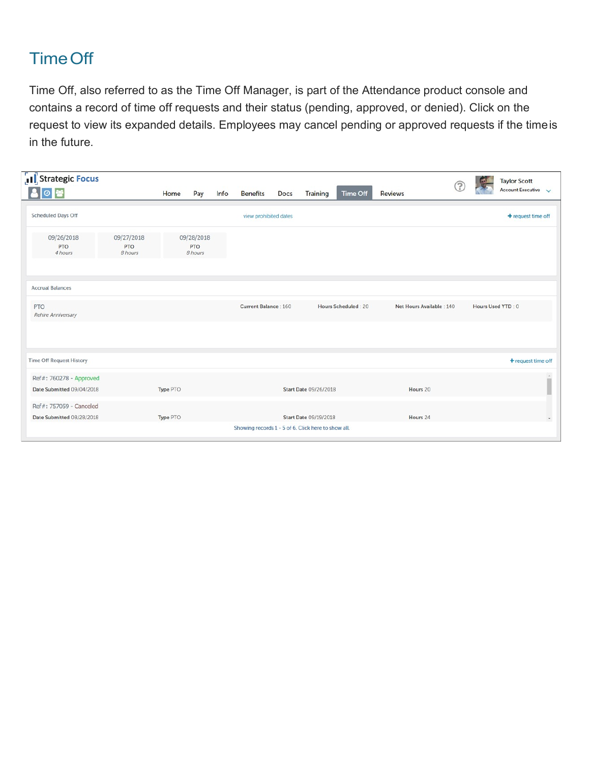## TimeOff

Time Off, also referred to as the Time Off Manager, is part of the Attendance product console and contains a record of time off requests and their status (pending, approved, or denied). Click on the request to view its expanded details. Employees may cancel pending or approved requests if the time is in the future.

| I Strategic Focus<br>80 -                            |                                     | Home     | Pay                                 | Info | <b>Benefits</b>                                     | Docs | <b>Training</b>              | Time Off            | <b>Reviews</b>            |                   | <b>Taylor Scott</b><br>Account Executive $\sqrt{}$ |
|------------------------------------------------------|-------------------------------------|----------|-------------------------------------|------|-----------------------------------------------------|------|------------------------------|---------------------|---------------------------|-------------------|----------------------------------------------------|
| <b>Scheduled Days Off</b>                            |                                     |          |                                     |      | view prohibited dates                               |      |                              |                     |                           |                   | + request time off                                 |
| 09/26/2018<br><b>PTO</b><br>4 hours                  | 09/27/2018<br><b>PTO</b><br>8 hours |          | 09/28/2018<br><b>PTO</b><br>8 hours |      |                                                     |      |                              |                     |                           |                   |                                                    |
| <b>Accrual Balances</b>                              |                                     |          |                                     |      |                                                     |      |                              |                     |                           |                   |                                                    |
| <b>PTO</b><br>Rehire Anniversary                     |                                     |          |                                     |      | Current Balance: 160                                |      |                              | Hours Scheduled: 20 | Net Hours Available : 140 | Hours Used YTD: 0 |                                                    |
|                                                      |                                     |          |                                     |      |                                                     |      |                              |                     |                           |                   |                                                    |
| <b>Time Off Request History</b>                      |                                     |          |                                     |      |                                                     |      |                              |                     |                           |                   | + request time off                                 |
| Ref#: 760278 - Approved<br>Date Submitted 09/04/2018 |                                     | Type PTO |                                     |      |                                                     |      | <b>Start Date 09/26/2018</b> |                     | Hours 20                  |                   |                                                    |
| Ref#: 757059 - Canceled<br>Date Submitted 08/28/2018 |                                     | Type PTO |                                     |      |                                                     |      | Start Date 09/19/2018        |                     | Hours 24                  |                   | ٠                                                  |
|                                                      |                                     |          |                                     |      | Showing records 1 - 5 of 6. Click here to show all. |      |                              |                     |                           |                   |                                                    |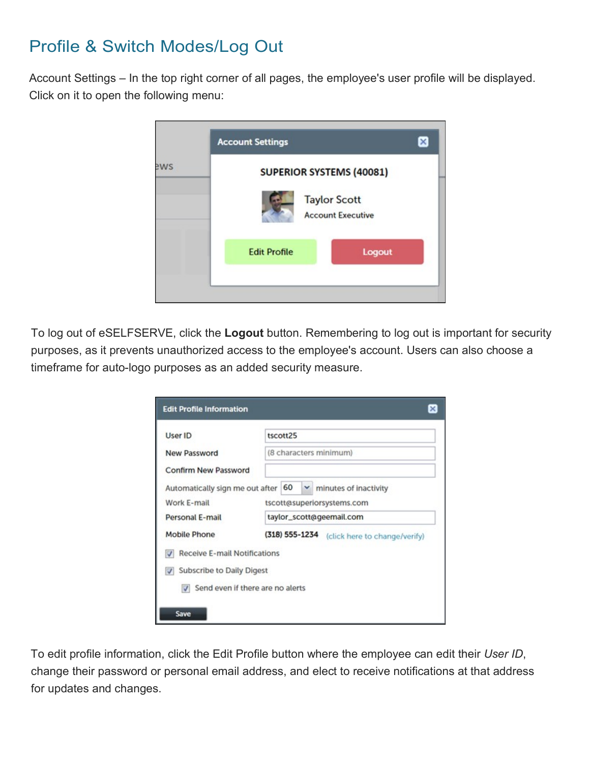## Profile & Switch Modes/Log Out

Account Settings – In the top right corner of all pages, the employee's user profile will be displayed. Click on it to open the following menu:



To log out of eSELFSERVE, click the **Logout** button. Remembering to log out is important for security purposes, as it prevents unauthorized access to the employee's account. Users can also choose a timeframe for auto-logo purposes as an added security measure.

| User ID                             | tscott25                                         |
|-------------------------------------|--------------------------------------------------|
| New Password                        | (8 characters minimum)                           |
| Confirm New Password                |                                                  |
| Automatically sign me out after     | 60<br>$\mathbf{\check{v}}$ minutes of inactivity |
| Work E-mail                         | tscott@superiorsystems.com                       |
| Personal E-mail                     | taylor_scott@geemail.com                         |
| Mobile Phone                        | (318) 555-1234<br>(click here to change/verify)  |
| <b>Receive E-mail Notifications</b> |                                                  |
| V Subscribe to Daily Digest         |                                                  |
|                                     | Send even if there are no alerts                 |

To edit profile information, click the Edit Profile button where the employee can edit their *User ID*, change their password or personal email address, and elect to receive notifications at that address for updates and changes.